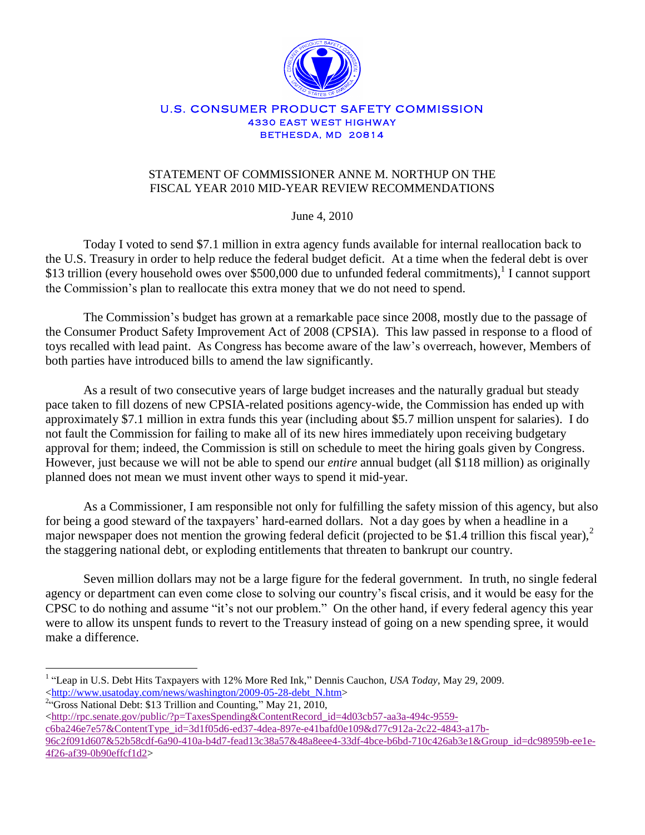

## U.S. CONSUMER PRODUCT SAFETY COMMISSION **4330 EAST WEST HIGHWAY BETHESDA, MD 20814**

## STATEMENT OF COMMISSIONER ANNE M. NORTHUP ON THE FISCAL YEAR 2010 MID-YEAR REVIEW RECOMMENDATIONS

June 4, 2010

Today I voted to send \$7.1 million in extra agency funds available for internal reallocation back to the U.S. Treasury in order to help reduce the federal budget deficit. At a time when the federal debt is over \$13 trillion (every household owes over \$500,000 due to unfunded federal commitments),<sup>1</sup> I cannot support the Commission's plan to reallocate this extra money that we do not need to spend.

The Commission's budget has grown at a remarkable pace since 2008, mostly due to the passage of the Consumer Product Safety Improvement Act of 2008 (CPSIA). This law passed in response to a flood of toys recalled with lead paint. As Congress has become aware of the law's overreach, however, Members of both parties have introduced bills to amend the law significantly.

As a result of two consecutive years of large budget increases and the naturally gradual but steady pace taken to fill dozens of new CPSIA-related positions agency-wide, the Commission has ended up with approximately \$7.1 million in extra funds this year (including about \$5.7 million unspent for salaries). I do not fault the Commission for failing to make all of its new hires immediately upon receiving budgetary approval for them; indeed, the Commission is still on schedule to meet the hiring goals given by Congress. However, just because we will not be able to spend our *entire* annual budget (all \$118 million) as originally planned does not mean we must invent other ways to spend it mid-year.

As a Commissioner, I am responsible not only for fulfilling the safety mission of this agency, but also for being a good steward of the taxpayers' hard-earned dollars. Not a day goes by when a headline in a major newspaper does not mention the growing federal deficit (projected to be \$1.4 trillion this fiscal year), $2$ the staggering national debt, or exploding entitlements that threaten to bankrupt our country.

Seven million dollars may not be a large figure for the federal government. In truth, no single federal agency or department can even come close to solving our country's fiscal crisis, and it would be easy for the CPSC to do nothing and assume "it's not our problem." On the other hand, if every federal agency this year were to allow its unspent funds to revert to the Treasury instead of going on a new spending spree, it would make a difference.

 $\overline{a}$ 

<sup>&</sup>lt;sup>1</sup> "Leap in U.S. Debt Hits Taxpayers with 12% More Red Ink," Dennis Cauchon, *USA Today*, May 29, 2009. [<http://www.usatoday.com/news/washington/2009-05-28-debt\\_N.htm>](http://www.usatoday.com/news/washington/2009-05-28-debt_N.htm)

<sup>&</sup>lt;sup>2</sup>"Gross National Debt: \$13 Trillion and Counting," May 21, 2010,

 $\langle$ http://rpc.senate.gov/public/?p=TaxesSpending&ContentRecord\_id=4d03cb57-aa3a-494c-9559[c6ba246e7e57&ContentType\\_id=3d1f05d6-ed37-4dea-897e-e41bafd0e109&d77c912a-2c22-4843-a17b-](http://rpc.senate.gov/public/?p=TaxesSpending&ContentRecord_id=4d03cb57-aa3a-494c-9559-c6ba246e7e57&ContentType_id=3d1f05d6-ed37-4dea-897e-e41bafd0e109&d77c912a-2c22-4843-a17b-96c2f091d607&52b58cdf-6a90-410a-b4d7-fead13c38a57&48a8eee4-33df-4bce-b6bd-710c426ab3e1&Group_id=dc98959b-ee1e-4f26-af39-0b90effcf1d2)[96c2f091d607&52b58cdf-6a90-410a-b4d7-fead13c38a57&48a8eee4-33df-4bce-b6bd-710c426ab3e1&Group\\_id=dc98959b-ee1e-](http://rpc.senate.gov/public/?p=TaxesSpending&ContentRecord_id=4d03cb57-aa3a-494c-9559-c6ba246e7e57&ContentType_id=3d1f05d6-ed37-4dea-897e-e41bafd0e109&d77c912a-2c22-4843-a17b-96c2f091d607&52b58cdf-6a90-410a-b4d7-fead13c38a57&48a8eee4-33df-4bce-b6bd-710c426ab3e1&Group_id=dc98959b-ee1e-4f26-af39-0b90effcf1d2)[4f26-af39-0b90effcf1d2>](http://rpc.senate.gov/public/?p=TaxesSpending&ContentRecord_id=4d03cb57-aa3a-494c-9559-c6ba246e7e57&ContentType_id=3d1f05d6-ed37-4dea-897e-e41bafd0e109&d77c912a-2c22-4843-a17b-96c2f091d607&52b58cdf-6a90-410a-b4d7-fead13c38a57&48a8eee4-33df-4bce-b6bd-710c426ab3e1&Group_id=dc98959b-ee1e-4f26-af39-0b90effcf1d2)